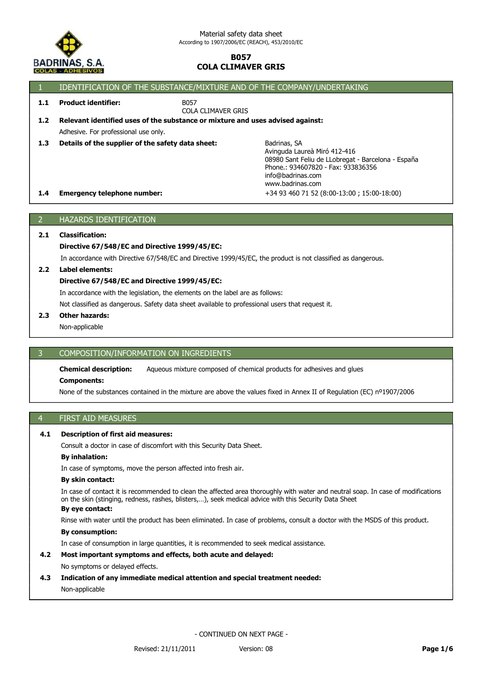

|     | IDENTIFICATION OF THE SUBSTANCE/MIXTURE AND OF THE COMPANY/UNDERTAKING |                                                                                                                                                                                   |  |  |
|-----|------------------------------------------------------------------------|-----------------------------------------------------------------------------------------------------------------------------------------------------------------------------------|--|--|
| 1.1 | <b>Product identifier:</b>                                             | B057<br>COLA CLIMAVER GRIS                                                                                                                                                        |  |  |
| 1.2 |                                                                        | Relevant identified uses of the substance or mixture and uses advised against:                                                                                                    |  |  |
|     | Adhesive. For professional use only.                                   |                                                                                                                                                                                   |  |  |
| 1.3 | Details of the supplier of the safety data sheet:                      | Badrinas, SA<br>Avinguda Laureà Miró 412-416<br>08980 Sant Feliu de LLobregat - Barcelona - España<br>Phone.: 934607820 - Fax: 933836356<br>info@badrinas.com<br>www.badrinas.com |  |  |
| 1.4 | <b>Emergency telephone number:</b>                                     | +34 93 460 71 52 (8:00-13:00; 15:00-18:00)                                                                                                                                        |  |  |
|     |                                                                        |                                                                                                                                                                                   |  |  |

# 2 HAZARDS IDENTIFICATION

## **2.1 Classification:**

## **Directive 67/548/EC and Directive 1999/45/EC:**

In accordance with Directive 67/548/EC and Directive 1999/45/EC, the product is not classified as dangerous.

## **2.2 Label elements:**

## **Directive 67/548/EC and Directive 1999/45/EC:**

In accordance with the legislation, the elements on the label are as follows:

Not classified as dangerous. Safety data sheet available to professional users that request it.

## **2.3 Other hazards:**

Non-applicable

## 3 COMPOSITION/INFORMATION ON INGREDIENTS

**Chemical description:** Aqueous mixture composed of chemical products for adhesives and glues

## **Components:**

None of the substances contained in the mixture are above the values fixed in Annex II of Regulation (EC) nº1907/2006

## 4 FIRST AID MEASURES

## **4.1 Description of first aid measures:**

Consult a doctor in case of discomfort with this Security Data Sheet.

#### **By inhalation:**

In case of symptoms, move the person affected into fresh air.

#### **By skin contact:**

In case of contact it is recommended to clean the affected area thoroughly with water and neutral soap. In case of modifications on the skin (stinging, redness, rashes, blisters,…), seek medical advice with this Security Data Sheet

# **By eye contact:**

Rinse with water until the product has been eliminated. In case of problems, consult a doctor with the MSDS of this product.

## **By consumption:**

In case of consumption in large quantities, it is recommended to seek medical assistance.

# **4.2 Most important symptoms and effects, both acute and delayed:**

## No symptoms or delayed effects.

## **4.3 Indication of any immediate medical attention and special treatment needed:**

Non-applicable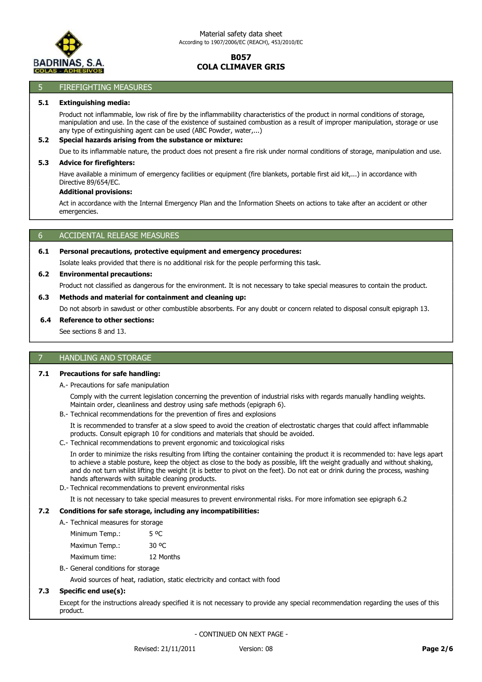

## 5 FIREFIGHTING MEASURES

#### **5.1 Extinguishing media:**

Product not inflammable, low risk of fire by the inflammability characteristics of the product in normal conditions of storage, manipulation and use. In the case of the existence of sustained combustion as a result of improper manipulation, storage or use any type of extinguishing agent can be used (ABC Powder, water,...)

#### **5.2 Special hazards arising from the substance or mixture:**

Due to its inflammable nature, the product does not present a fire risk under normal conditions of storage, manipulation and use.

#### **5.3 Advice for firefighters:**

Have available a minimum of emergency facilities or equipment (fire blankets, portable first aid kit,...) in accordance with Directive 89/654/EC.

#### **Additional provisions:**

Act in accordance with the Internal Emergency Plan and the Information Sheets on actions to take after an accident or other emergencies.

## 6 ACCIDENTAL RELEASE MEASURES

## **6.1 Personal precautions, protective equipment and emergency procedures:**

Isolate leaks provided that there is no additional risk for the people performing this task.

## **6.2 Environmental precautions:**

Product not classified as dangerous for the environment. It is not necessary to take special measures to contain the product.

## **6.3 Methods and material for containment and cleaning up:**

Do not absorb in sawdust or other combustible absorbents. For any doubt or concern related to disposal consult epigraph 13.

#### **6.4 Reference to other sections:**

See sections 8 and 13.

## 7 HANDLING AND STORAGE

## **7.1 Precautions for safe handling:**

A.- Precautions for safe manipulation

Comply with the current legislation concerning the prevention of industrial risks with regards manually handling weights. Maintain order, cleanliness and destroy using safe methods (epigraph 6).

B.- Technical recommendations for the prevention of fires and explosions

It is recommended to transfer at a slow speed to avoid the creation of electrostatic charges that could affect inflammable products. Consult epigraph 10 for conditions and materials that should be avoided.

C.- Technical recommendations to prevent ergonomic and toxicological risks

In order to minimize the risks resulting from lifting the container containing the product it is recommended to: have legs apart to achieve a stable posture, keep the object as close to the body as possible, lift the weight gradually and without shaking, and do not turn whilst lifting the weight (it is better to pivot on the feet). Do not eat or drink during the process, washing hands afterwards with suitable cleaning products.

D.- Technical recommendations to prevent environmental risks

It is not necessary to take special measures to prevent environmental risks. For more infomation see epigraph 6.2

## **7.2 Conditions for safe storage, including any incompatibilities:**

| A.- Technical measures for storage |           |
|------------------------------------|-----------|
| Minimum Temp.:                     | 5 OC      |
| Maximun Temp.:                     | 30 OC     |
| Maximum time:                      | 12 Months |

## B.- General conditions for storage

Avoid sources of heat, radiation, static electricity and contact with food

## **7.3 Specific end use(s):**

Except for the instructions already specified it is not necessary to provide any special recommendation regarding the uses of this product.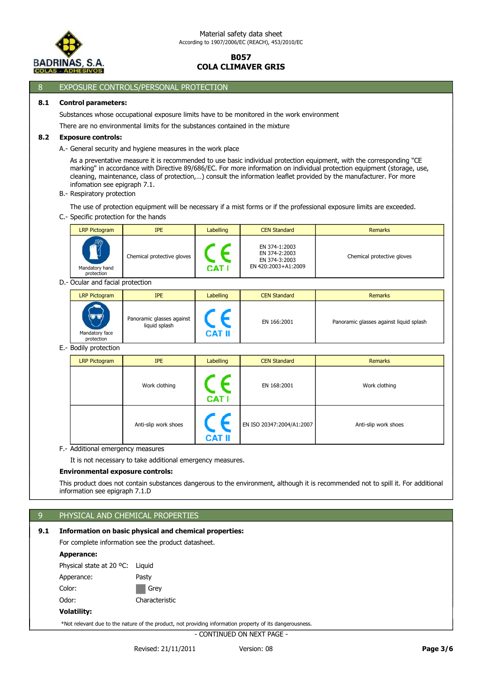

## 8 EXPOSURE CONTROLS/PERSONAL PROTECTION

## **8.1 Control parameters:**

Substances whose occupational exposure limits have to be monitored in the work environment There are no environmental limits for the substances contained in the mixture

## **8.2 Exposure controls:**

A.- General security and hygiene measures in the work place

As a preventative measure it is recommended to use basic individual protection equipment, with the corresponding "CE marking" in accordance with Directive 89/686/EC. For more information on individual protection equipment (storage, use, cleaning, maintenance, class of protection,…) consult the information leaflet provided by the manufacturer. For more infomation see epigraph 7.1.

B.- Respiratory protection

The use of protection equipment will be necessary if a mist forms or if the professional exposure limits are exceeded.

C.- Specific protection for the hands

| <b>LRP Pictogram</b>                          | <b>IPE</b>                 | <b>Labelling</b> | <b>CEN Standard</b>                                                    | <b>Remarks</b>             |
|-----------------------------------------------|----------------------------|------------------|------------------------------------------------------------------------|----------------------------|
| $\frac{m}{2}$<br>Mandatory hand<br>protection | Chemical protective gloves | CAT I            | EN 374-1:2003<br>EN 374-2:2003<br>EN 374-3:2003<br>EN 420:2003+A1:2009 | Chemical protective gloves |

D.- Ocular and facial protection

| <b>LRP Pictogram</b>         | <b>IPE</b>                                 | Labelling | <b>CEN Standard</b> | <b>Remarks</b>                          |
|------------------------------|--------------------------------------------|-----------|---------------------|-----------------------------------------|
|                              |                                            |           |                     |                                         |
| Mandatory face<br>protection | Panoramic glasses against<br>liquid splash | CAT II    | EN 166:2001         | Panoramic glasses against liquid splash |

E.- Bodily protection

| <b>LRP Pictogram</b> | <b>IPE</b>           | Labelling     | <b>CEN Standard</b>       | Remarks              |
|----------------------|----------------------|---------------|---------------------------|----------------------|
|                      | Work clothing        | <b>CAT I</b>  | EN 168:2001               | Work clothing        |
|                      | Anti-slip work shoes | <b>CAT II</b> | EN ISO 20347:2004/A1:2007 | Anti-slip work shoes |

F.- Additional emergency measures

It is not necessary to take additional emergency measures.

## **Environmental exposure controls:**

This product does not contain substances dangerous to the environment, although it is recommended not to spill it. For additional information see epigraph 7.1.D

## 9 PHYSICAL AND CHEMICAL PROPERTIES

## **9.1 Information on basic physical and chemical properties:**

For complete information see the product datasheet.

#### **Apperance:**

Odor: Characteristic Color: Grey Apperance: Pasty Physical state at 20 ºC: Liquid

## **Volatility:**

\*Not relevant due to the nature of the product, not providing information property of its dangerousness.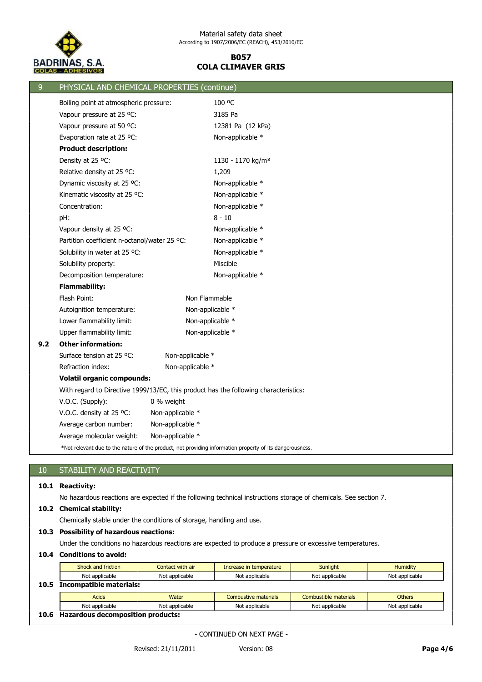

|     |                                              |                  | PHYSICAL AND CHEMICAL PROPERTIES (continue)                                                              |
|-----|----------------------------------------------|------------------|----------------------------------------------------------------------------------------------------------|
|     | Boiling point at atmospheric pressure:       |                  | 100 °C                                                                                                   |
|     | Vapour pressure at 25 °C:                    |                  | 3185 Pa                                                                                                  |
|     | Vapour pressure at 50 °C:                    |                  | 12381 Pa (12 kPa)                                                                                        |
|     | Evaporation rate at 25 °C:                   |                  | Non-applicable *                                                                                         |
|     | <b>Product description:</b>                  |                  |                                                                                                          |
|     | Density at 25 °C:                            |                  | 1130 - 1170 kg/m <sup>3</sup>                                                                            |
|     | Relative density at 25 °C:                   |                  | 1,209                                                                                                    |
|     | Dynamic viscosity at 25 °C:                  |                  | Non-applicable *                                                                                         |
|     | Kinematic viscosity at 25 °C:                |                  | Non-applicable *                                                                                         |
|     | Concentration:                               |                  | Non-applicable *                                                                                         |
| pH: |                                              |                  | $8 - 10$                                                                                                 |
|     | Vapour density at 25 °C:                     |                  | Non-applicable *                                                                                         |
|     | Partition coefficient n-octanol/water 25 °C: |                  | Non-applicable *                                                                                         |
|     | Solubility in water at 25 °C:                |                  | Non-applicable *                                                                                         |
|     | Solubility property:                         |                  | Miscible                                                                                                 |
|     | Decomposition temperature:                   |                  | Non-applicable *                                                                                         |
|     | <b>Flammability:</b>                         |                  |                                                                                                          |
|     | Flash Point:                                 | Non Flammable    |                                                                                                          |
|     | Autoignition temperature:                    |                  | Non-applicable *                                                                                         |
|     | Lower flammability limit:                    |                  | Non-applicable *                                                                                         |
|     | Upper flammability limit:                    |                  | Non-applicable *                                                                                         |
| 9.2 | <b>Other information:</b>                    |                  |                                                                                                          |
|     | Surface tension at 25 °C:                    | Non-applicable * |                                                                                                          |
|     | Refraction index:                            | Non-applicable * |                                                                                                          |
|     | <b>Volatil organic compounds:</b>            |                  |                                                                                                          |
|     |                                              |                  | With regard to Directive 1999/13/EC, this product has the following characteristics:                     |
|     | V.O.C. (Supply):                             | 0 % weight       |                                                                                                          |
|     | V.O.C. density at 25 °C:                     | Non-applicable * |                                                                                                          |
|     | Average carbon number:                       | Non-applicable * |                                                                                                          |
|     | Average molecular weight:                    | Non-applicable * |                                                                                                          |
|     |                                              |                  | *Not relevant due to the nature of the product, not providing information property of its dangerousness. |

# 10 STABILITY AND REACTIVITY

# **10.1 Reactivity:**

No hazardous reactions are expected if the following technical instructions storage of chemicals. See section 7.

## **10.2 Chemical stability:**

Chemically stable under the conditions of storage, handling and use.

## **10.3 Possibility of hazardous reactions:**

Under the conditions no hazardous reactions are expected to produce a pressure or excessive temperatures.

# **10.4 Conditions to avoid:**

|      | Shock and friction             | Contact with air | Increase in temperature | <b>Sunlight</b>       | <b>Humidity</b> |
|------|--------------------------------|------------------|-------------------------|-----------------------|-----------------|
|      | Not applicable                 | Not applicable   | Not applicable          | Not applicable        | Not applicable  |
| 10.5 | <b>Incompatible materials:</b> |                  |                         |                       |                 |
|      |                                |                  |                         |                       |                 |
|      | <b>Acids</b>                   | Water            | Combustive materials    | Combustible materials | <b>Others</b>   |
|      | Not applicable                 | Not applicable   | Not applicable          | Not applicable        | Not applicable  |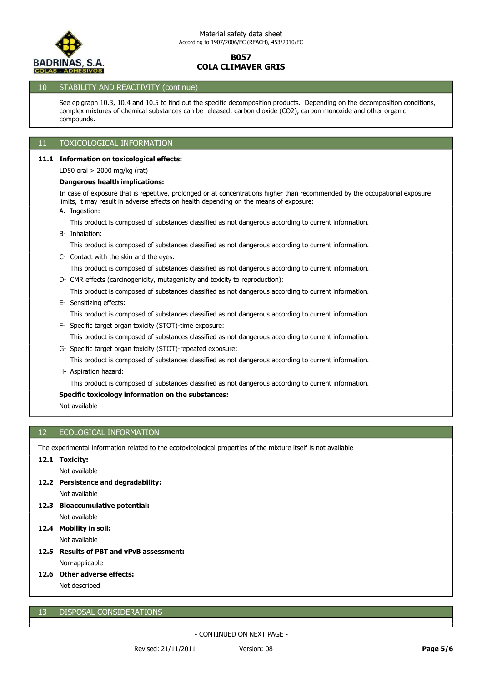

## 10 STABILITY AND REACTIVITY (continue)

See epigraph 10.3, 10.4 and 10.5 to find out the specific decomposition products. Depending on the decomposition conditions, complex mixtures of chemical substances can be released: carbon dioxide (CO2), carbon monoxide and other organic compounds.

## 11 TOXICOLOGICAL INFORMATION

## **11.1 Information on toxicological effects:**

LD50 oral > 2000 mg/kg (rat)

#### **Dangerous health implications:**

In case of exposure that is repetitive, prolonged or at concentrations higher than recommended by the occupational exposure limits, it may result in adverse effects on health depending on the means of exposure:

A.- Ingestion:

This product is composed of substances classified as not dangerous according to current information.

B- Inhalation:

This product is composed of substances classified as not dangerous according to current information.

C- Contact with the skin and the eyes:

This product is composed of substances classified as not dangerous according to current information.

D- CMR effects (carcinogenicity, mutagenicity and toxicity to reproduction):

This product is composed of substances classified as not dangerous according to current information.

#### E- Sensitizing effects:

This product is composed of substances classified as not dangerous according to current information.

- This product is composed of substances classified as not dangerous according to current information. F- Specific target organ toxicity (STOT)-time exposure:
- This product is composed of substances classified as not dangerous according to current information. G- Specific target organ toxicity (STOT)-repeated exposure:
- H- Aspiration hazard:

This product is composed of substances classified as not dangerous according to current information.

## **Specific toxicology information on the substances:**

Not available

## 12 ECOLOGICAL INFORMATION

The experimental information related to the ecotoxicological properties of the mixture itself is not available

## **12.1 Toxicity:**

Not available

- **12.2 Persistence and degradability:**
	- Not available
- **12.3 Bioaccumulative potential:**

Not available

- Not available **12.4 Mobility in soil:**
	-
- **12.5 Results of PBT and vPvB assessment:**

Non-applicable

**12.6 Other adverse effects:**

Not described

## 13 DISPOSAL CONSIDERATIONS